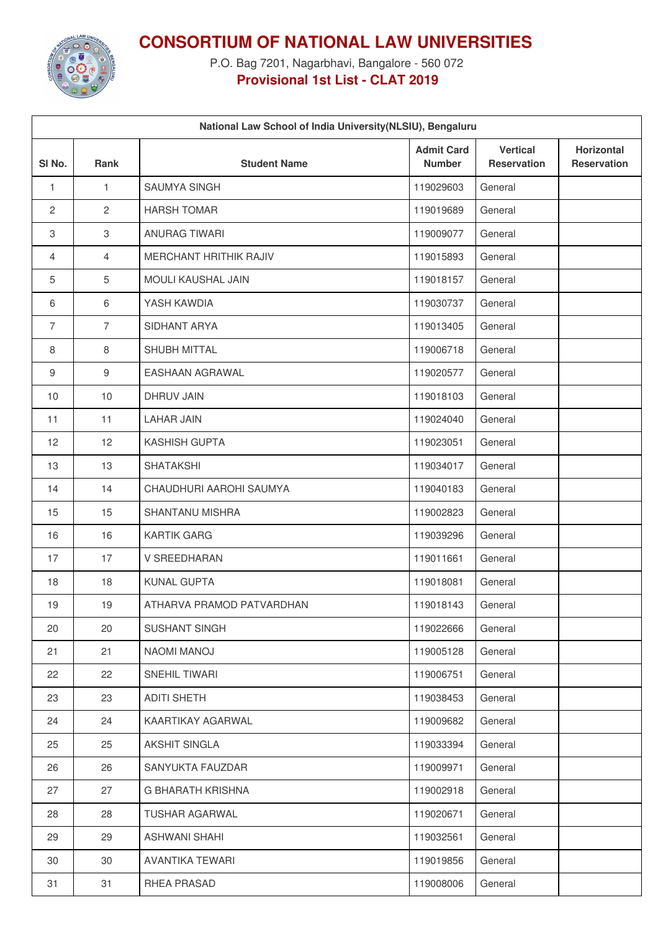

**CONSORTIUM OF NATIONAL LAW UNIVERSITIES**

P.O. Bag 7201, Nagarbhavi, Bangalore - 560 072 **Provisional 1st List - CLAT 2019**

| National Law School of India University(NLSIU), Bengaluru |                |                               |                                    |                                       |                                         |  |  |
|-----------------------------------------------------------|----------------|-------------------------------|------------------------------------|---------------------------------------|-----------------------------------------|--|--|
| SI <sub>No.</sub>                                         | Rank           | <b>Student Name</b>           | <b>Admit Card</b><br><b>Number</b> | <b>Vertical</b><br><b>Reservation</b> | <b>Horizontal</b><br><b>Reservation</b> |  |  |
| $\mathbf{1}$                                              | $\mathbf{1}$   | <b>SAUMYA SINGH</b>           | 119029603                          | General                               |                                         |  |  |
| $\overline{2}$                                            | 2              | <b>HARSH TOMAR</b>            | 119019689                          | General                               |                                         |  |  |
| $\,3$                                                     | 3              | <b>ANURAG TIWARI</b>          | 119009077                          | General                               |                                         |  |  |
| 4                                                         | 4              | <b>MERCHANT HRITHIK RAJIV</b> | 119015893                          | General                               |                                         |  |  |
| 5                                                         | $\overline{5}$ | MOULI KAUSHAL JAIN            | 119018157                          | General                               |                                         |  |  |
| 6                                                         | $6\,$          | YASH KAWDIA                   | 119030737                          | General                               |                                         |  |  |
| $\overline{7}$                                            | $\overline{7}$ | SIDHANT ARYA                  | 119013405                          | General                               |                                         |  |  |
| 8                                                         | 8              | <b>SHUBH MITTAL</b>           | 119006718                          | General                               |                                         |  |  |
| 9                                                         | $9\,$          | <b>EASHAAN AGRAWAL</b>        | 119020577                          | General                               |                                         |  |  |
| 10                                                        | 10             | <b>DHRUV JAIN</b>             | 119018103                          | General                               |                                         |  |  |
| 11                                                        | 11             | <b>LAHAR JAIN</b>             | 119024040                          | General                               |                                         |  |  |
| 12                                                        | 12             | <b>KASHISH GUPTA</b>          | 119023051                          | General                               |                                         |  |  |
| 13                                                        | 13             | <b>SHATAKSHI</b>              | 119034017                          | General                               |                                         |  |  |
| 14                                                        | 14             | CHAUDHURI AAROHI SAUMYA       | 119040183                          | General                               |                                         |  |  |
| 15                                                        | 15             | <b>SHANTANU MISHRA</b>        | 119002823                          | General                               |                                         |  |  |
| 16                                                        | 16             | <b>KARTIK GARG</b>            | 119039296                          | General                               |                                         |  |  |
| 17                                                        | 17             | V SREEDHARAN                  | 119011661                          | General                               |                                         |  |  |
| 18                                                        | 18             | <b>KUNAL GUPTA</b>            | 119018081                          | General                               |                                         |  |  |
| 19                                                        | 19             | ATHARVA PRAMOD PATVARDHAN     | 119018143                          | General                               |                                         |  |  |
| 20                                                        | 20             | SUSHANT SINGH                 | 119022666                          | General                               |                                         |  |  |
| 21                                                        | 21             | <b>NAOMI MANOJ</b>            | 119005128                          | General                               |                                         |  |  |
| 22                                                        | 22             | SNEHIL TIWARI                 | 119006751                          | General                               |                                         |  |  |
| 23                                                        | 23             | <b>ADITI SHETH</b>            | 119038453                          | General                               |                                         |  |  |
| 24                                                        | 24             | KAARTIKAY AGARWAL             | 119009682                          | General                               |                                         |  |  |
| 25                                                        | 25             | AKSHIT SINGLA                 | 119033394                          | General                               |                                         |  |  |
| 26                                                        | 26             | SANYUKTA FAUZDAR              | 119009971                          | General                               |                                         |  |  |
| 27                                                        | 27             | G BHARATH KRISHNA             | 119002918                          | General                               |                                         |  |  |
| 28                                                        | 28             | <b>TUSHAR AGARWAL</b>         | 119020671                          | General                               |                                         |  |  |
| 29                                                        | 29             | <b>ASHWANI SHAHI</b>          | 119032561                          | General                               |                                         |  |  |
| 30                                                        | 30             | AVANTIKA TEWARI               | 119019856                          | General                               |                                         |  |  |
| 31                                                        | 31             | RHEA PRASAD                   | 119008006                          | General                               |                                         |  |  |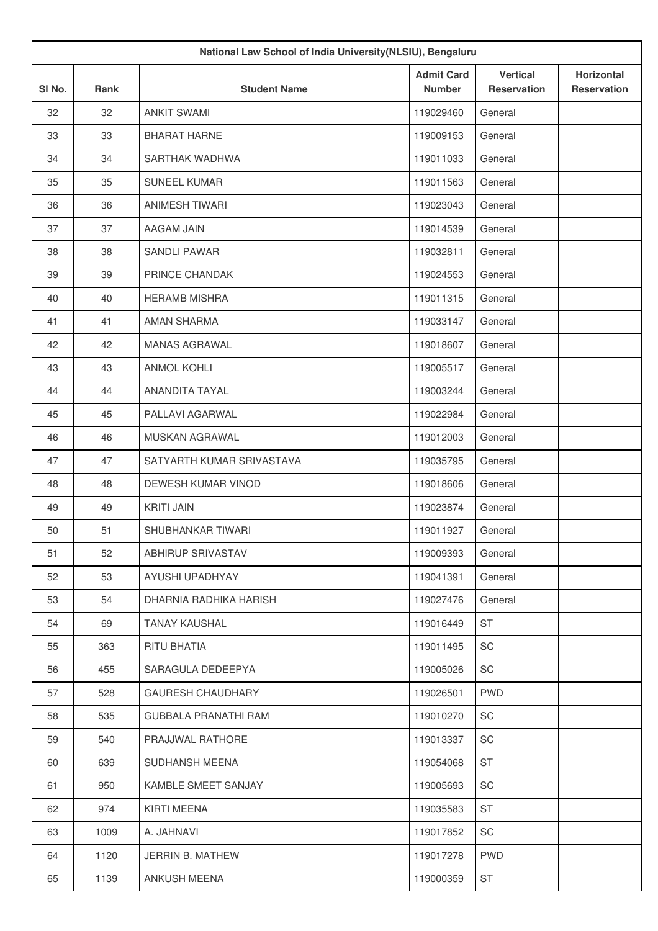|        |      | National Law School of India University(NLSIU), Bengaluru |                                    |                                       |                                         |
|--------|------|-----------------------------------------------------------|------------------------------------|---------------------------------------|-----------------------------------------|
| SI No. | Rank | <b>Student Name</b>                                       | <b>Admit Card</b><br><b>Number</b> | <b>Vertical</b><br><b>Reservation</b> | <b>Horizontal</b><br><b>Reservation</b> |
| 32     | 32   | <b>ANKIT SWAMI</b>                                        | 119029460                          | General                               |                                         |
| 33     | 33   | <b>BHARAT HARNE</b>                                       | 119009153                          | General                               |                                         |
| 34     | 34   | SARTHAK WADHWA                                            | 119011033                          | General                               |                                         |
| 35     | 35   | <b>SUNEEL KUMAR</b>                                       | 119011563                          | General                               |                                         |
| 36     | 36   | ANIMESH TIWARI                                            | 119023043                          | General                               |                                         |
| 37     | 37   | AAGAM JAIN                                                | 119014539                          | General                               |                                         |
| 38     | 38   | <b>SANDLI PAWAR</b>                                       | 119032811                          | General                               |                                         |
| 39     | 39   | PRINCE CHANDAK                                            | 119024553                          | General                               |                                         |
| 40     | 40   | <b>HERAMB MISHRA</b>                                      | 119011315                          | General                               |                                         |
| 41     | 41   | <b>AMAN SHARMA</b>                                        | 119033147                          | General                               |                                         |
| 42     | 42   | MANAS AGRAWAL                                             | 119018607                          | General                               |                                         |
| 43     | 43   | <b>ANMOL KOHLI</b>                                        | 119005517                          | General                               |                                         |
| 44     | 44   | ANANDITA TAYAL                                            | 119003244                          | General                               |                                         |
| 45     | 45   | PALLAVI AGARWAL                                           | 119022984                          | General                               |                                         |
| 46     | 46   | MUSKAN AGRAWAL                                            | 119012003                          | General                               |                                         |
| 47     | 47   | SATYARTH KUMAR SRIVASTAVA                                 | 119035795                          | General                               |                                         |
| 48     | 48   | DEWESH KUMAR VINOD                                        | 119018606                          | General                               |                                         |
| 49     | 49   | <b>KRITI JAIN</b>                                         | 119023874                          | General                               |                                         |
| 50     | 51   | SHUBHANKAR TIWARI                                         | 119011927                          | General                               |                                         |
| 51     | 52   | ABHIRUP SRIVASTAV                                         | 119009393                          | General                               |                                         |
| 52     | 53   | AYUSHI UPADHYAY                                           | 119041391                          | General                               |                                         |
| 53     | 54   | DHARNIA RADHIKA HARISH                                    | 119027476                          | General                               |                                         |
| 54     | 69   | <b>TANAY KAUSHAL</b>                                      | 119016449                          | <b>ST</b>                             |                                         |
| 55     | 363  | RITU BHATIA                                               | 119011495                          | SC                                    |                                         |
| 56     | 455  | SARAGULA DEDEEPYA                                         | 119005026                          | SC                                    |                                         |
| 57     | 528  | <b>GAURESH CHAUDHARY</b>                                  | 119026501                          | <b>PWD</b>                            |                                         |
| 58     | 535  | <b>GUBBALA PRANATHI RAM</b>                               | 119010270                          | SC                                    |                                         |
| 59     | 540  | PRAJJWAL RATHORE                                          | 119013337                          | SC                                    |                                         |
| 60     | 639  | SUDHANSH MEENA                                            | 119054068                          | <b>ST</b>                             |                                         |
| 61     | 950  | KAMBLE SMEET SANJAY                                       | 119005693                          | SC                                    |                                         |
| 62     | 974  | KIRTI MEENA                                               | 119035583                          | ST                                    |                                         |
| 63     | 1009 | A. JAHNAVI                                                | 119017852                          | SC                                    |                                         |
| 64     | 1120 | JERRIN B. MATHEW                                          | 119017278                          | <b>PWD</b>                            |                                         |
| 65     | 1139 | ANKUSH MEENA                                              | 119000359                          | ST                                    |                                         |